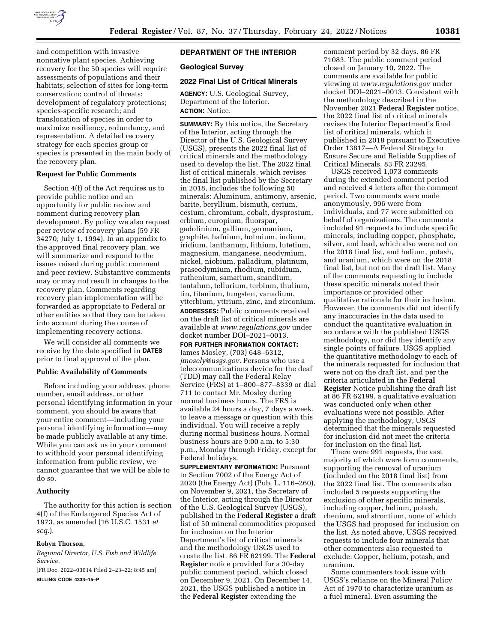

and competition with invasive nonnative plant species. Achieving recovery for the 50 species will require assessments of populations and their habitats; selection of sites for long-term conservation; control of threats; development of regulatory protections; species-specific research; and translocation of species in order to maximize resiliency, redundancy, and representation. A detailed recovery strategy for each species group or species is presented in the main body of the recovery plan.

## **Request for Public Comments**

Section 4(f) of the Act requires us to provide public notice and an opportunity for public review and comment during recovery plan development. By policy we also request peer review of recovery plans (59 FR 34270; July 1, 1994). In an appendix to the approved final recovery plan, we will summarize and respond to the issues raised during public comment and peer review. Substantive comments may or may not result in changes to the recovery plan. Comments regarding recovery plan implementation will be forwarded as appropriate to Federal or other entities so that they can be taken into account during the course of implementing recovery actions.

We will consider all comments we receive by the date specified in **DATES** prior to final approval of the plan.

#### **Public Availability of Comments**

Before including your address, phone number, email address, or other personal identifying information in your comment, you should be aware that your entire comment—including your personal identifying information—may be made publicly available at any time. While you can ask us in your comment to withhold your personal identifying information from public review, we cannot guarantee that we will be able to do so.

#### **Authority**

The authority for this action is section 4(f) of the Endangered Species Act of 1973, as amended (16 U.S.C. 1531 *et seq.*).

# **Robyn Thorson,**

*Regional Director, U.S. Fish and Wildlife Service.* 

[FR Doc. 2022–03614 Filed 2–23–22; 8:45 am] **BILLING CODE 4333–15–P** 

## **DEPARTMENT OF THE INTERIOR**

### **Geological Survey**

### **2022 Final List of Critical Minerals**

**AGENCY:** U.S. Geological Survey, Department of the Interior. **ACTION:** Notice.

**SUMMARY:** By this notice, the Secretary of the Interior, acting through the Director of the U.S. Geological Survey (USGS), presents the 2022 final list of critical minerals and the methodology used to develop the list. The 2022 final list of critical minerals, which revises the final list published by the Secretary in 2018, includes the following 50 minerals: Aluminum, antimony, arsenic, barite, beryllium, bismuth, cerium, cesium, chromium, cobalt, dysprosium, erbium, europium, fluorspar, gadolinium, gallium, germanium, graphite, hafnium, holmium, indium, iridium, lanthanum, lithium, lutetium, magnesium, manganese, neodymium, nickel, niobium, palladium, platinum, praseodymium, rhodium, rubidium, ruthenium, samarium, scandium, tantalum, tellurium, terbium, thulium, tin, titanium, tungsten, vanadium, ytterbium, yttrium, zinc, and zirconium. **ADDRESSES:** Public comments received on the draft list of critical minerals are available at *[www.regulations.gov](http://www.regulations.gov)* under docket number DOI–2021–0013.

#### **FOR FURTHER INFORMATION CONTACT:**

James Mosley, (703) 648–6312, *[jmosely@usgs.gov.](mailto:jmosely@usgs.gov)* Persons who use a telecommunications device for the deaf (TDD) may call the Federal Relay Service (FRS) at 1–800–877–8339 or dial 711 to contact Mr. Mosley during normal business hours. The FRS is available 24 hours a day, 7 days a week, to leave a message or question with this individual. You will receive a reply during normal business hours. Normal business hours are 9:00 a.m. to 5:30 p.m., Monday through Friday, except for Federal holidays.

**SUPPLEMENTARY INFORMATION: Pursuant** to Section 7002 of the Energy Act of 2020 (the Energy Act) (Pub. L. 116–260), on November 9, 2021, the Secretary of the Interior, acting through the Director of the U.S. Geological Survey (USGS), published in the **Federal Register** a draft list of 50 mineral commodities proposed for inclusion on the Interior Department's list of critical minerals and the methodology USGS used to create the list. 86 FR 62199. The **Federal Register** notice provided for a 30-day public comment period, which closed on December 9, 2021. On December 14, 2021, the USGS published a notice in the **Federal Register** extending the

comment period by 32 days. 86 FR 71083. The public comment period closed on January 10, 2022. The comments are available for public viewing at *[www.regulations.gov](http://www.regulations.gov)* under docket DOI–2021–0013. Consistent with the methodology described in the November 2021 **Federal Register** notice, the 2022 final list of critical minerals revises the Interior Department's final list of critical minerals, which it published in 2018 pursuant to Executive Order 13817—A Federal Strategy to Ensure Secure and Reliable Supplies of Critical Minerals. 83 FR 23295.

USGS received 1,073 comments during the extended comment period and received 4 letters after the comment period. Two comments were made anonymously, 996 were from individuals, and 77 were submitted on behalf of organizations. The comments included 91 requests to include specific minerals, including copper, phosphate, silver, and lead, which also were not on the 2018 final list, and helium, potash, and uranium, which were on the 2018 final list, but not on the draft list. Many of the comments requesting to include these specific minerals noted their importance or provided other qualitative rationale for their inclusion. However, the comments did not identify any inaccuracies in the data used to conduct the quantitative evaluation in accordance with the published USGS methodology, nor did they identify any single points of failure. USGS applied the quantitative methodology to each of the minerals requested for inclusion that were not on the draft list, and per the criteria articulated in the **Federal Register** Notice publishing the draft list at 86 FR 62199, a qualitative evaluation was conducted only when other evaluations were not possible. After applying the methodology, USGS determined that the minerals requested for inclusion did not meet the criteria for inclusion on the final list.

There were 991 requests, the vast majority of which were form comments, supporting the removal of uranium (included on the 2018 final list) from the 2022 final list. The comments also included 5 requests supporting the exclusion of other specific minerals, including copper, helium, potash, rhenium, and strontium, none of which the USGS had proposed for inclusion on the list. As noted above, USGS received requests to include four minerals that other commenters also requested to exclude: Copper, helium, potash, and uranium.

Some commenters took issue with USGS's reliance on the Mineral Policy Act of 1970 to characterize uranium as a fuel mineral. Even assuming the